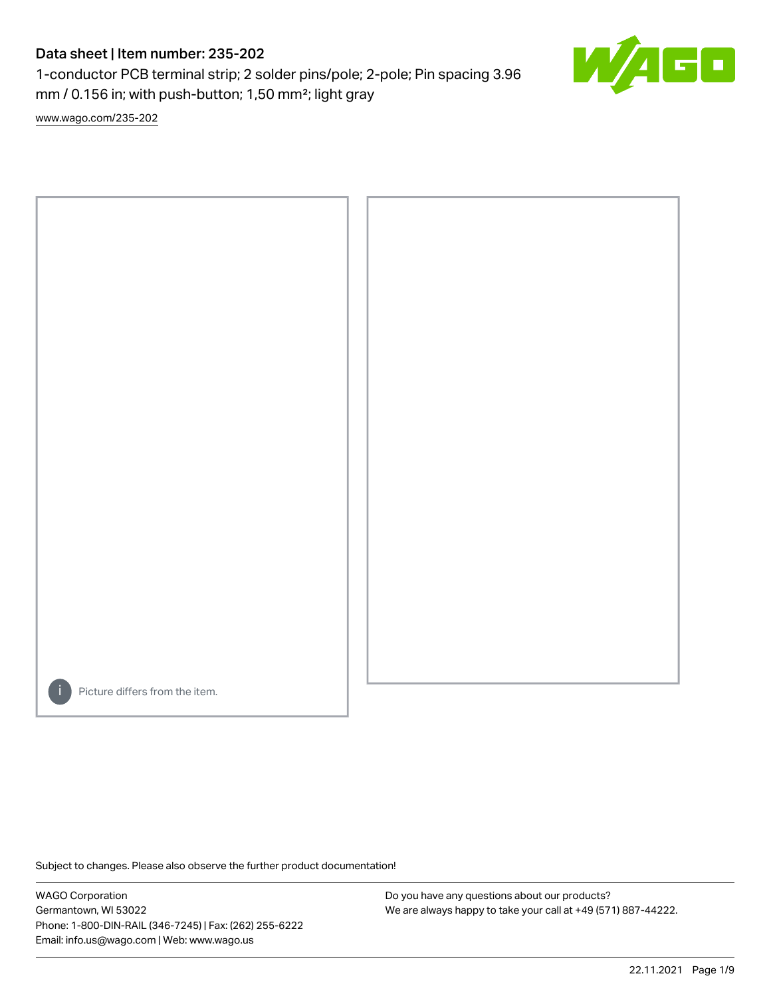# Data sheet | Item number: 235-202

1-conductor PCB terminal strip; 2 solder pins/pole; 2-pole; Pin spacing 3.96 mm / 0.156 in; with push-button; 1,50 mm²; light gray

[www.wago.com/235-202](http://www.wago.com/235-202)



Picture differs from the item.

Subject to changes. Please also observe the further product documentation!

WAGO Corporation Germantown, WI 53022 Phone: 1-800-DIN-RAIL (346-7245) | Fax: (262) 255-6222 Email: info.us@wago.com | Web: www.wago.us

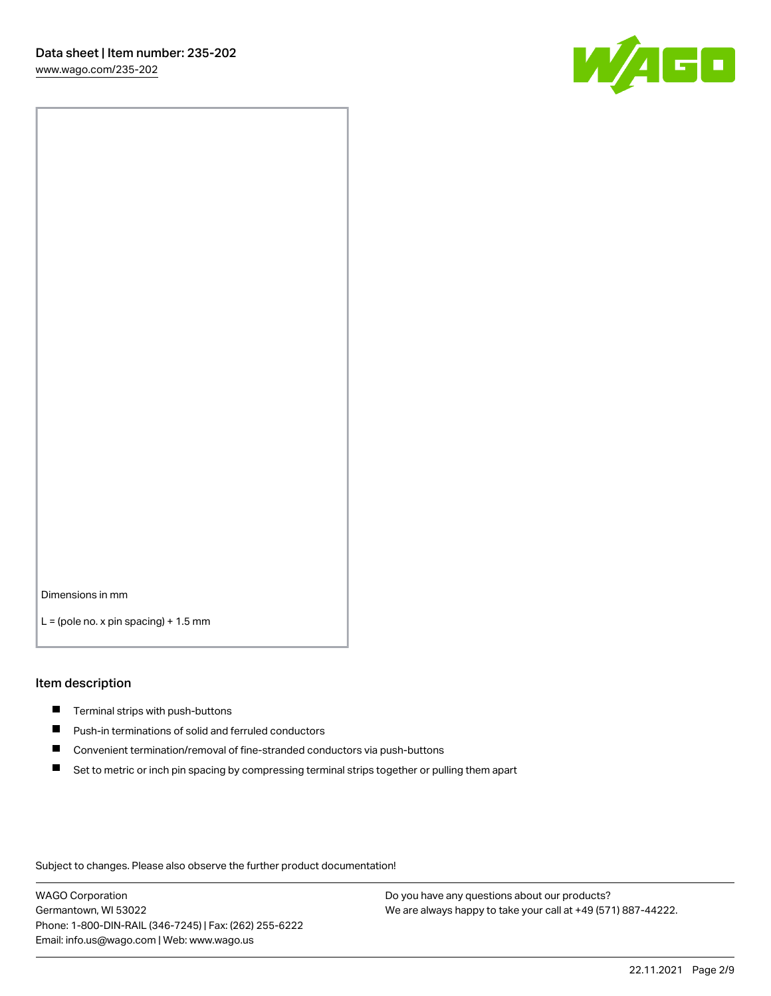

Dimensions in mm

 $L =$  (pole no. x pin spacing) + 1.5 mm

#### Item description

- $\blacksquare$  Terminal strips with push-buttons
- $\blacksquare$ Push-in terminations of solid and ferruled conductors
- $\blacksquare$ Convenient termination/removal of fine-stranded conductors via push-buttons
- Set to metric or inch pin spacing by compressing terminal strips together or pulling them apart

Subject to changes. Please also observe the further product documentation!

WAGO Corporation Germantown, WI 53022 Phone: 1-800-DIN-RAIL (346-7245) | Fax: (262) 255-6222 Email: info.us@wago.com | Web: www.wago.us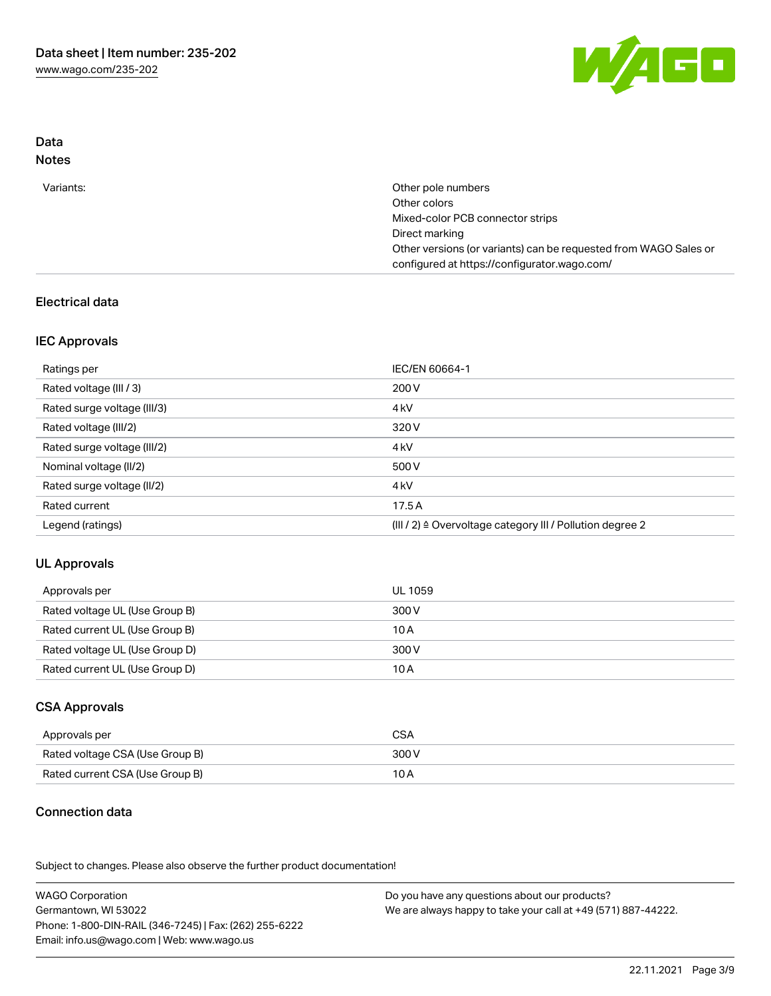

#### Data Notes

| Variants: | Other pole numbers                                               |
|-----------|------------------------------------------------------------------|
|           | Other colors                                                     |
|           | Mixed-color PCB connector strips                                 |
|           | Direct marking                                                   |
|           | Other versions (or variants) can be requested from WAGO Sales or |
|           | configured at https://configurator.wago.com/                     |

## Electrical data

#### IEC Approvals

| Ratings per                 | IEC/EN 60664-1                                            |
|-----------------------------|-----------------------------------------------------------|
| Rated voltage (III / 3)     | 200 V                                                     |
| Rated surge voltage (III/3) | 4 <sub>k</sub> V                                          |
| Rated voltage (III/2)       | 320 V                                                     |
| Rated surge voltage (III/2) | 4 <sub>k</sub> V                                          |
| Nominal voltage (II/2)      | 500 V                                                     |
| Rated surge voltage (II/2)  | 4 <sub>kV</sub>                                           |
| Rated current               | 17.5A                                                     |
| Legend (ratings)            | (III / 2) ≙ Overvoltage category III / Pollution degree 2 |

## UL Approvals

| Approvals per                  | UL 1059 |
|--------------------------------|---------|
| Rated voltage UL (Use Group B) | 300 V   |
| Rated current UL (Use Group B) | 10 A    |
| Rated voltage UL (Use Group D) | 300 V   |
| Rated current UL (Use Group D) | 10 A    |

#### CSA Approvals

| Approvals per                   | CSA   |
|---------------------------------|-------|
| Rated voltage CSA (Use Group B) | 300 V |
| Rated current CSA (Use Group B) | 10 A  |

## Connection data

.<br>Subject to changes. Please also observe the further product documentation!

| <b>WAGO Corporation</b>                                | Do you have any questions about our products?                 |
|--------------------------------------------------------|---------------------------------------------------------------|
| Germantown, WI 53022                                   | We are always happy to take your call at +49 (571) 887-44222. |
| Phone: 1-800-DIN-RAIL (346-7245)   Fax: (262) 255-6222 |                                                               |
| Email: info.us@wago.com   Web: www.wago.us             |                                                               |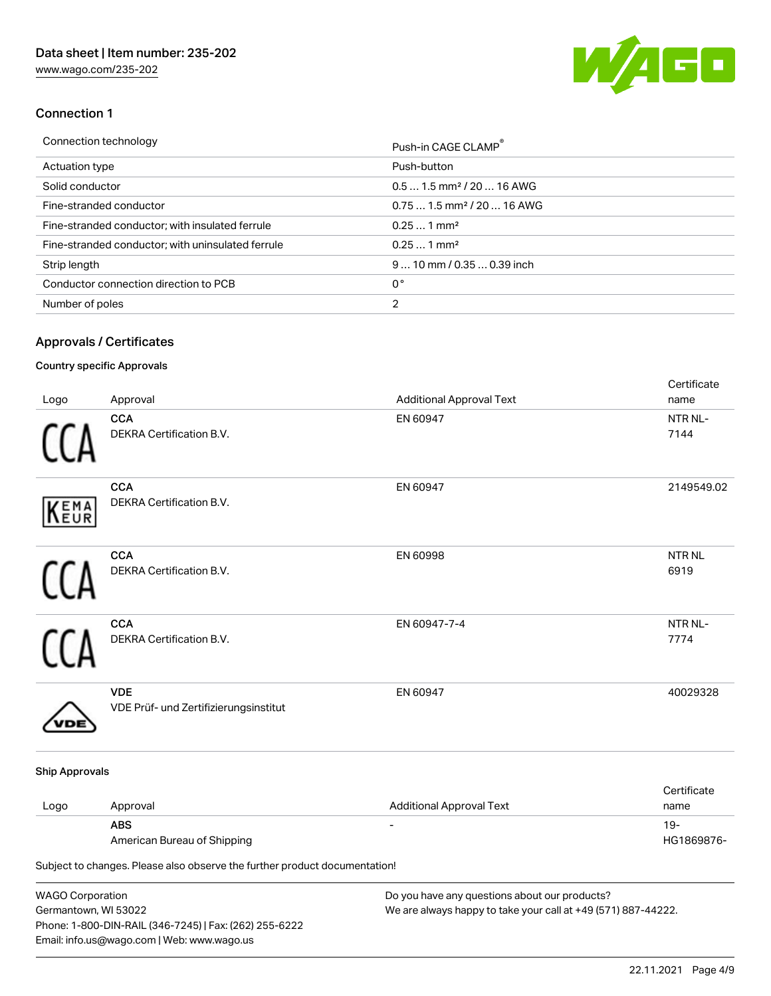[www.wago.com/235-202](http://www.wago.com/235-202)



#### Connection 1

| Connection technology                             | Push-in CAGE CLAMP®                    |
|---------------------------------------------------|----------------------------------------|
| Actuation type                                    | Push-button                            |
| Solid conductor                                   | $0.51.5$ mm <sup>2</sup> / 20  16 AWG  |
| Fine-stranded conductor                           | $0.751.5$ mm <sup>2</sup> / 20  16 AWG |
| Fine-stranded conductor; with insulated ferrule   | $0.251$ mm <sup>2</sup>                |
| Fine-stranded conductor; with uninsulated ferrule | $0.251$ mm <sup>2</sup>                |
| Strip length                                      | $9$ 10 mm / 0.35 $$ 0.39 inch          |
| Conductor connection direction to PCB             | 0°                                     |
| Number of poles                                   | 2                                      |

### Approvals / Certificates

## Country specific Approvals

Phone: 1-800-DIN-RAIL (346-7245) | Fax: (262) 255-6222

Email: info.us@wago.com | Web: www.wago.us

| Logo                    | Approval                                                                                                                | <b>Additional Approval Text</b>                               | Certificate<br>name  |
|-------------------------|-------------------------------------------------------------------------------------------------------------------------|---------------------------------------------------------------|----------------------|
|                         | <b>CCA</b><br>DEKRA Certification B.V.                                                                                  | EN 60947                                                      | NTR NL-<br>7144      |
| KEMA                    | <b>CCA</b><br>DEKRA Certification B.V.                                                                                  | EN 60947                                                      | 2149549.02           |
|                         | <b>CCA</b><br>DEKRA Certification B.V.                                                                                  | EN 60998                                                      | <b>NTRNL</b><br>6919 |
|                         | <b>CCA</b><br>DEKRA Certification B.V.                                                                                  | EN 60947-7-4                                                  | NTR NL-<br>7774      |
|                         | <b>VDE</b><br>VDE Prüf- und Zertifizierungsinstitut                                                                     | EN 60947                                                      | 40029328             |
| <b>Ship Approvals</b>   |                                                                                                                         |                                                               |                      |
| Logo                    | Approval                                                                                                                | <b>Additional Approval Text</b>                               | Certificate<br>name  |
|                         | <b>ABS</b><br>American Bureau of Shipping<br>Subject to changes. Please also observe the further product documentation! |                                                               | $19 -$<br>HG1869876- |
| <b>WAGO Corporation</b> |                                                                                                                         | Do you have any questions about our products?                 |                      |
| Germantown, WI 53022    |                                                                                                                         | We are always happy to take your call at +49 (571) 887-44222. |                      |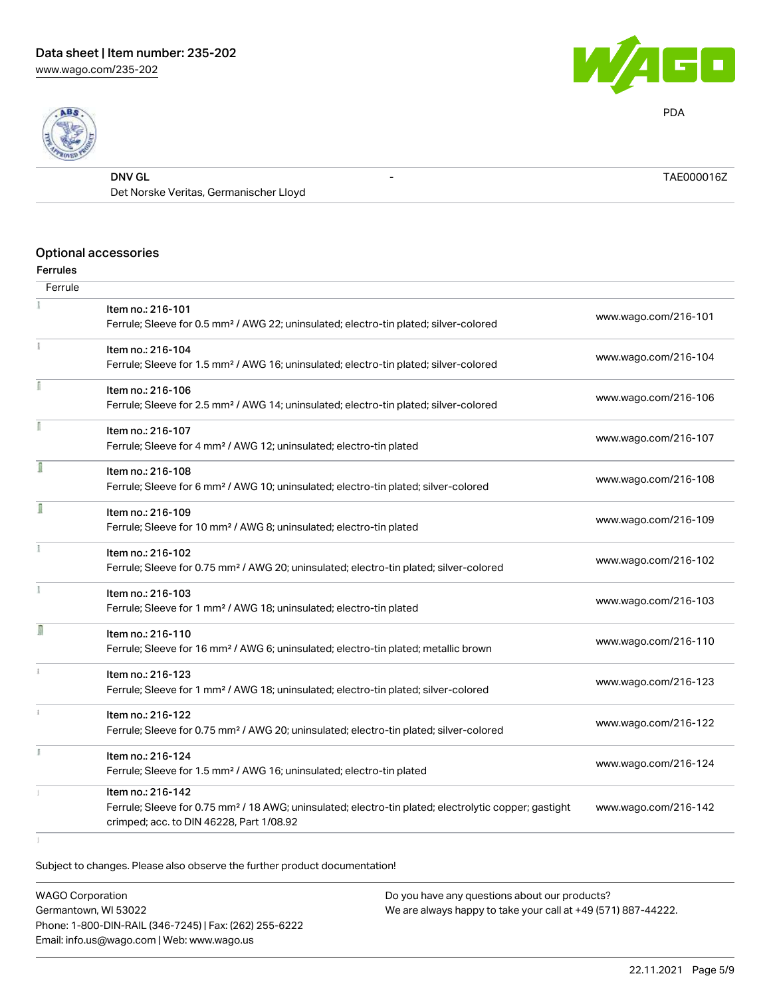



PDA

| DNV GL                                 | TAE0000162 |
|----------------------------------------|------------|
| Det Norske Veritas, Germanischer Lloyd |            |

## Optional accessories

#### Ferrules

| Ferrule       |                                                                                                                        |                      |
|---------------|------------------------------------------------------------------------------------------------------------------------|----------------------|
|               | Item no.: 216-101<br>Ferrule; Sleeve for 0.5 mm <sup>2</sup> / AWG 22; uninsulated; electro-tin plated; silver-colored | www.wago.com/216-101 |
|               | Item no.: 216-104                                                                                                      | www.wago.com/216-104 |
|               | Ferrule; Sleeve for 1.5 mm <sup>2</sup> / AWG 16; uninsulated; electro-tin plated; silver-colored                      |                      |
|               | Item no.: 216-106                                                                                                      |                      |
|               | Ferrule; Sleeve for 2.5 mm <sup>2</sup> / AWG 14; uninsulated; electro-tin plated; silver-colored                      | www.wago.com/216-106 |
|               | Item no.: 216-107                                                                                                      |                      |
|               | Ferrule; Sleeve for 4 mm <sup>2</sup> / AWG 12; uninsulated; electro-tin plated                                        | www.wago.com/216-107 |
|               | Item no.: 216-108                                                                                                      |                      |
|               | Ferrule; Sleeve for 6 mm <sup>2</sup> / AWG 10; uninsulated; electro-tin plated; silver-colored                        | www.wago.com/216-108 |
| ſ             | Item no.: 216-109                                                                                                      |                      |
|               | Ferrule; Sleeve for 10 mm <sup>2</sup> / AWG 8; uninsulated; electro-tin plated                                        | www.wago.com/216-109 |
|               | Item no.: 216-102                                                                                                      |                      |
|               | Ferrule; Sleeve for 0.75 mm <sup>2</sup> / AWG 20; uninsulated; electro-tin plated; silver-colored                     | www.wago.com/216-102 |
|               | Item no.: 216-103                                                                                                      |                      |
|               | Ferrule; Sleeve for 1 mm <sup>2</sup> / AWG 18; uninsulated; electro-tin plated                                        | www.wago.com/216-103 |
| I             | Item no.: 216-110                                                                                                      |                      |
|               | Ferrule; Sleeve for 16 mm <sup>2</sup> / AWG 6; uninsulated; electro-tin plated; metallic brown                        | www.wago.com/216-110 |
|               | Item no.: 216-123                                                                                                      |                      |
|               | Ferrule; Sleeve for 1 mm <sup>2</sup> / AWG 18; uninsulated; electro-tin plated; silver-colored                        | www.wago.com/216-123 |
| $\frac{1}{2}$ | Item no.: 216-122                                                                                                      |                      |
|               | Ferrule; Sleeve for 0.75 mm <sup>2</sup> / AWG 20; uninsulated; electro-tin plated; silver-colored                     | www.wago.com/216-122 |
|               | Item no.: 216-124                                                                                                      |                      |
|               | Ferrule; Sleeve for 1.5 mm <sup>2</sup> / AWG 16; uninsulated; electro-tin plated                                      | www.wago.com/216-124 |
|               | Item no.: 216-142                                                                                                      |                      |
|               | Ferrule; Sleeve for 0.75 mm <sup>2</sup> / 18 AWG; uninsulated; electro-tin plated; electrolytic copper; gastight      | www.wago.com/216-142 |
|               | crimped; acc. to DIN 46228, Part 1/08.92                                                                               |                      |
|               |                                                                                                                        |                      |

Subject to changes. Please also observe the further product documentation!

WAGO Corporation Germantown, WI 53022 Phone: 1-800-DIN-RAIL (346-7245) | Fax: (262) 255-6222 Email: info.us@wago.com | Web: www.wago.us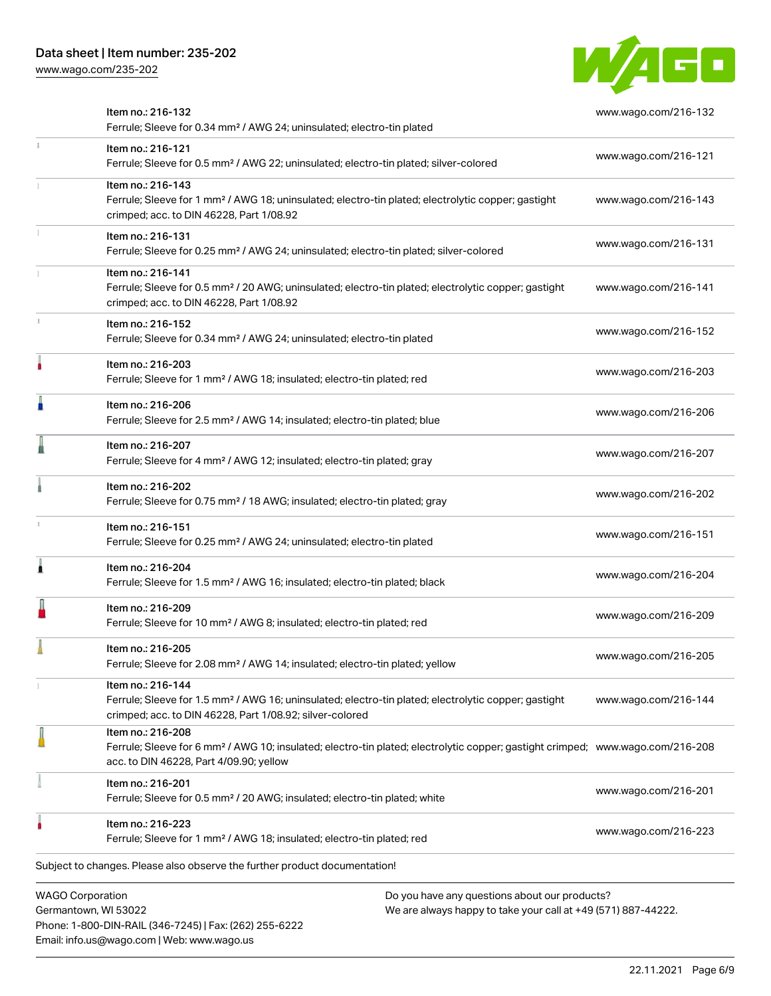Email: info.us@wago.com | Web: www.wago.us

[www.wago.com/235-202](http://www.wago.com/235-202)



|                         | Item no.: 216-132<br>Ferrule; Sleeve for 0.34 mm <sup>2</sup> / AWG 24; uninsulated; electro-tin plated                                                                                                    |                                                                                                                | www.wago.com/216-132 |
|-------------------------|------------------------------------------------------------------------------------------------------------------------------------------------------------------------------------------------------------|----------------------------------------------------------------------------------------------------------------|----------------------|
|                         | Item no.: 216-121<br>Ferrule; Sleeve for 0.5 mm <sup>2</sup> / AWG 22; uninsulated; electro-tin plated; silver-colored                                                                                     |                                                                                                                | www.wago.com/216-121 |
|                         | Item no.: 216-143<br>Ferrule; Sleeve for 1 mm <sup>2</sup> / AWG 18; uninsulated; electro-tin plated; electrolytic copper; gastight<br>crimped; acc. to DIN 46228, Part 1/08.92                            |                                                                                                                | www.wago.com/216-143 |
|                         | Item no.: 216-131<br>Ferrule; Sleeve for 0.25 mm <sup>2</sup> / AWG 24; uninsulated; electro-tin plated; silver-colored                                                                                    |                                                                                                                | www.wago.com/216-131 |
|                         | Item no.: 216-141<br>Ferrule; Sleeve for 0.5 mm <sup>2</sup> / 20 AWG; uninsulated; electro-tin plated; electrolytic copper; gastight<br>crimped; acc. to DIN 46228, Part 1/08.92                          |                                                                                                                | www.wago.com/216-141 |
|                         | Item no.: 216-152<br>Ferrule; Sleeve for 0.34 mm <sup>2</sup> / AWG 24; uninsulated; electro-tin plated                                                                                                    |                                                                                                                | www.wago.com/216-152 |
|                         | Item no.: 216-203<br>Ferrule; Sleeve for 1 mm <sup>2</sup> / AWG 18; insulated; electro-tin plated; red                                                                                                    |                                                                                                                | www.wago.com/216-203 |
|                         | Item no.: 216-206<br>Ferrule; Sleeve for 2.5 mm <sup>2</sup> / AWG 14; insulated; electro-tin plated; blue                                                                                                 |                                                                                                                | www.wago.com/216-206 |
|                         | Item no.: 216-207<br>Ferrule; Sleeve for 4 mm <sup>2</sup> / AWG 12; insulated; electro-tin plated; gray                                                                                                   |                                                                                                                | www.wago.com/216-207 |
|                         | Item no.: 216-202<br>Ferrule; Sleeve for 0.75 mm <sup>2</sup> / 18 AWG; insulated; electro-tin plated; gray                                                                                                |                                                                                                                | www.wago.com/216-202 |
|                         | Item no.: 216-151<br>Ferrule; Sleeve for 0.25 mm <sup>2</sup> / AWG 24; uninsulated; electro-tin plated                                                                                                    |                                                                                                                | www.wago.com/216-151 |
|                         | Item no.: 216-204<br>Ferrule; Sleeve for 1.5 mm <sup>2</sup> / AWG 16; insulated; electro-tin plated; black                                                                                                |                                                                                                                | www.wago.com/216-204 |
|                         | Item no.: 216-209<br>Ferrule; Sleeve for 10 mm <sup>2</sup> / AWG 8; insulated; electro-tin plated; red                                                                                                    |                                                                                                                | www.wago.com/216-209 |
|                         | Item no.: 216-205<br>Ferrule; Sleeve for 2.08 mm <sup>2</sup> / AWG 14; insulated; electro-tin plated; yellow                                                                                              |                                                                                                                | www.wago.com/216-205 |
|                         | Item no.: 216-144<br>Ferrule; Sleeve for 1.5 mm <sup>2</sup> / AWG 16; uninsulated; electro-tin plated; electrolytic copper; gastight<br>crimped; acc. to DIN 46228, Part 1/08.92; silver-colored          |                                                                                                                | www.wago.com/216-144 |
|                         | Item no.: 216-208<br>Ferrule; Sleeve for 6 mm <sup>2</sup> / AWG 10; insulated; electro-tin plated; electrolytic copper; gastight crimped; www.wago.com/216-208<br>acc. to DIN 46228, Part 4/09.90; yellow |                                                                                                                |                      |
|                         | Item no.: 216-201<br>Ferrule; Sleeve for 0.5 mm <sup>2</sup> / 20 AWG; insulated; electro-tin plated; white                                                                                                |                                                                                                                | www.wago.com/216-201 |
|                         | Item no.: 216-223<br>Ferrule; Sleeve for 1 mm <sup>2</sup> / AWG 18; insulated; electro-tin plated; red                                                                                                    |                                                                                                                | www.wago.com/216-223 |
|                         | Subject to changes. Please also observe the further product documentation!                                                                                                                                 |                                                                                                                |                      |
| <b>WAGO Corporation</b> | Germantown, WI 53022                                                                                                                                                                                       | Do you have any questions about our products?<br>We are always happy to take your call at +49 (571) 887-44222. |                      |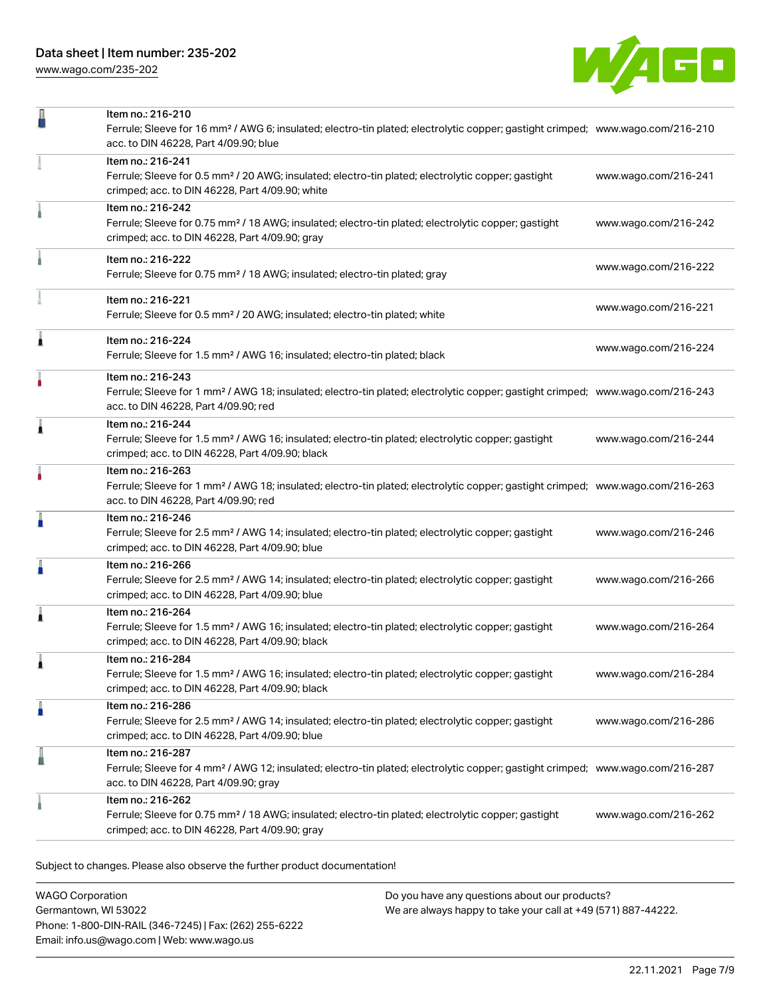[www.wago.com/235-202](http://www.wago.com/235-202)



|   | Item no.: 216-210<br>Ferrule; Sleeve for 16 mm <sup>2</sup> / AWG 6; insulated; electro-tin plated; electrolytic copper; gastight crimped; www.wago.com/216-210<br>acc. to DIN 46228, Part 4/09.90; blue |                      |
|---|----------------------------------------------------------------------------------------------------------------------------------------------------------------------------------------------------------|----------------------|
|   | Item no.: 216-241<br>Ferrule; Sleeve for 0.5 mm <sup>2</sup> / 20 AWG; insulated; electro-tin plated; electrolytic copper; gastight<br>crimped; acc. to DIN 46228, Part 4/09.90; white                   | www.wago.com/216-241 |
|   | Item no.: 216-242<br>Ferrule; Sleeve for 0.75 mm <sup>2</sup> / 18 AWG; insulated; electro-tin plated; electrolytic copper; gastight<br>crimped; acc. to DIN 46228, Part 4/09.90; gray                   | www.wago.com/216-242 |
|   | Item no.: 216-222<br>Ferrule; Sleeve for 0.75 mm <sup>2</sup> / 18 AWG; insulated; electro-tin plated; gray                                                                                              | www.wago.com/216-222 |
|   | Item no.: 216-221<br>Ferrule; Sleeve for 0.5 mm <sup>2</sup> / 20 AWG; insulated; electro-tin plated; white                                                                                              | www.wago.com/216-221 |
| Â | Item no.: 216-224<br>Ferrule; Sleeve for 1.5 mm <sup>2</sup> / AWG 16; insulated; electro-tin plated; black                                                                                              | www.wago.com/216-224 |
| ٠ | Item no.: 216-243<br>Ferrule; Sleeve for 1 mm <sup>2</sup> / AWG 18; insulated; electro-tin plated; electrolytic copper; gastight crimped; www.wago.com/216-243<br>acc. to DIN 46228, Part 4/09.90; red  |                      |
| Â | Item no.: 216-244<br>Ferrule; Sleeve for 1.5 mm <sup>2</sup> / AWG 16; insulated; electro-tin plated; electrolytic copper; gastight<br>crimped; acc. to DIN 46228, Part 4/09.90; black                   | www.wago.com/216-244 |
|   | Item no.: 216-263<br>Ferrule; Sleeve for 1 mm <sup>2</sup> / AWG 18; insulated; electro-tin plated; electrolytic copper; gastight crimped; www.wago.com/216-263<br>acc. to DIN 46228, Part 4/09.90; red  |                      |
| ä | Item no.: 216-246<br>Ferrule; Sleeve for 2.5 mm <sup>2</sup> / AWG 14; insulated; electro-tin plated; electrolytic copper; gastight<br>crimped; acc. to DIN 46228, Part 4/09.90; blue                    | www.wago.com/216-246 |
|   | Item no.: 216-266<br>Ferrule; Sleeve for 2.5 mm <sup>2</sup> / AWG 14; insulated; electro-tin plated; electrolytic copper; gastight<br>crimped; acc. to DIN 46228, Part 4/09.90; blue                    | www.wago.com/216-266 |
| 1 | Item no.: 216-264<br>Ferrule; Sleeve for 1.5 mm <sup>2</sup> / AWG 16; insulated; electro-tin plated; electrolytic copper; gastight<br>crimped; acc. to DIN 46228, Part 4/09.90; black                   | www.wago.com/216-264 |
|   | Item no.: 216-284<br>Ferrule; Sleeve for 1.5 mm <sup>2</sup> / AWG 16; insulated; electro-tin plated; electrolytic copper; gastight<br>crimped; acc. to DIN 46228, Part 4/09.90; black                   | www.wago.com/216-284 |
| Å | Item no.: 216-286<br>Ferrule; Sleeve for 2.5 mm <sup>2</sup> / AWG 14; insulated; electro-tin plated; electrolytic copper; gastight<br>crimped; acc. to DIN 46228, Part 4/09.90; blue                    | www.wago.com/216-286 |
| I | Item no.: 216-287<br>Ferrule; Sleeve for 4 mm <sup>2</sup> / AWG 12; insulated; electro-tin plated; electrolytic copper; gastight crimped; www.wago.com/216-287<br>acc. to DIN 46228, Part 4/09.90; gray |                      |
|   | Item no.: 216-262<br>Ferrule; Sleeve for 0.75 mm <sup>2</sup> / 18 AWG; insulated; electro-tin plated; electrolytic copper; gastight<br>crimped; acc. to DIN 46228, Part 4/09.90; gray                   | www.wago.com/216-262 |

Subject to changes. Please also observe the further product documentation!

| <b>WAGO Corporation</b>                                |
|--------------------------------------------------------|
| Germantown, WI 53022                                   |
| Phone: 1-800-DIN-RAIL (346-7245)   Fax: (262) 255-6222 |
| Email: info.us@wago.com   Web: www.wago.us             |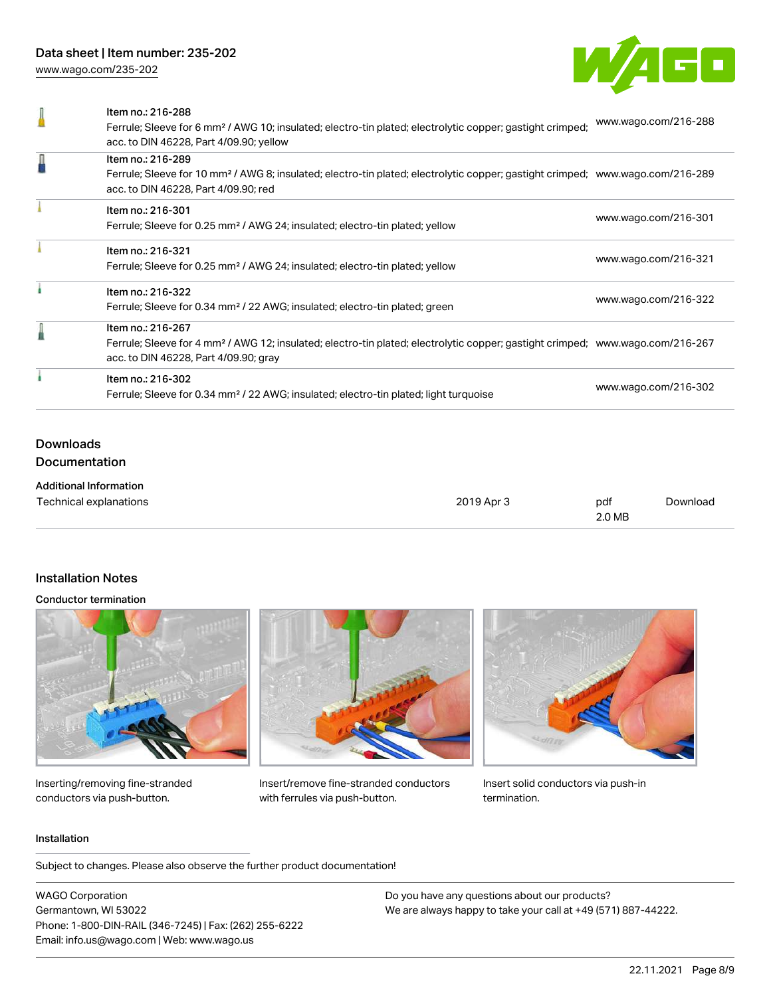[www.wago.com/235-202](http://www.wago.com/235-202)



|   | Item no.: 216-288<br>Ferrule; Sleeve for 6 mm <sup>2</sup> / AWG 10; insulated; electro-tin plated; electrolytic copper; gastight crimped;<br>acc. to DIN 46228, Part 4/09.90; yellow                    | www.wago.com/216-288 |
|---|----------------------------------------------------------------------------------------------------------------------------------------------------------------------------------------------------------|----------------------|
| Д | Item no.: 216-289<br>Ferrule; Sleeve for 10 mm <sup>2</sup> / AWG 8; insulated; electro-tin plated; electrolytic copper; gastight crimped; www.wago.com/216-289<br>acc. to DIN 46228, Part 4/09.90; red  |                      |
|   | Item no.: 216-301<br>Ferrule; Sleeve for 0.25 mm <sup>2</sup> / AWG 24; insulated; electro-tin plated; yellow                                                                                            | www.wago.com/216-301 |
|   | Item no.: 216-321<br>Ferrule; Sleeve for 0.25 mm <sup>2</sup> / AWG 24; insulated; electro-tin plated; yellow                                                                                            | www.wago.com/216-321 |
|   | Item no.: 216-322<br>Ferrule; Sleeve for 0.34 mm <sup>2</sup> / 22 AWG; insulated; electro-tin plated; green                                                                                             | www.wago.com/216-322 |
|   | Item no.: 216-267<br>Ferrule; Sleeve for 4 mm <sup>2</sup> / AWG 12; insulated; electro-tin plated; electrolytic copper; gastight crimped; www.wago.com/216-267<br>acc. to DIN 46228, Part 4/09.90; gray |                      |
|   | Item no.: 216-302<br>Ferrule; Sleeve for 0.34 mm <sup>2</sup> / 22 AWG; insulated; electro-tin plated; light turquoise                                                                                   | www.wago.com/216-302 |
|   |                                                                                                                                                                                                          |                      |

## Downloads Documentation

| <b>Additional Information</b> |            |        |          |
|-------------------------------|------------|--------|----------|
| Technical explanations        | 2019 Apr 3 | pdf    | Download |
|                               |            | 2.0 MB |          |

## Installation Notes

#### Conductor termination



Inserting/removing fine-stranded conductors via push-button.



Insert/remove fine-stranded conductors with ferrules via push-button.



Insert solid conductors via push-in termination.

#### Installation

Subject to changes. Please also observe the further product documentation!

WAGO Corporation Germantown, WI 53022 Phone: 1-800-DIN-RAIL (346-7245) | Fax: (262) 255-6222 Email: info.us@wago.com | Web: www.wago.us